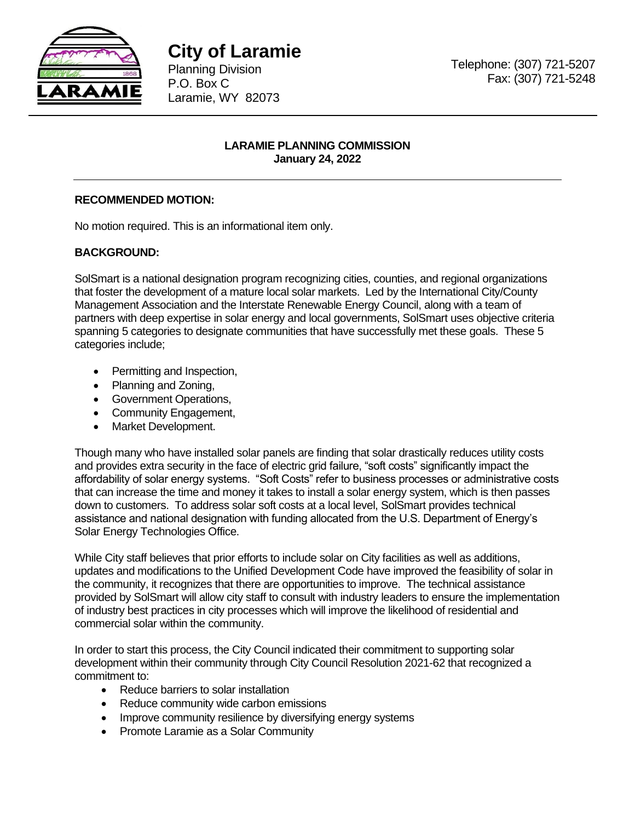

**City of Laramie** 

Planning Division P.O. Box C Laramie, WY 82073 Telephone: (307) 721-5207 Fax: (307) 721-5248

## **LARAMIE PLANNING COMMISSION January 24, 2022**

## **RECOMMENDED MOTION:**

No motion required. This is an informational item only.

## **BACKGROUND:**

SolSmart is a national designation program recognizing cities, counties, and regional organizations that foster the development of a mature local solar markets. Led by the International City/County Management Association and the Interstate Renewable Energy Council, along with a team of partners with deep expertise in solar energy and local governments, SolSmart uses objective criteria spanning 5 categories to designate communities that have successfully met these goals. These 5 categories include;

- Permitting and Inspection,
- Planning and Zoning,
- Government Operations,
- Community Engagement,
- Market Development.

Though many who have installed solar panels are finding that solar drastically reduces utility costs and provides extra security in the face of electric grid failure, "soft costs" significantly impact the affordability of solar energy systems. "Soft Costs" refer to business processes or administrative costs that can increase the time and money it takes to install a solar energy system, which is then passes down to customers. To address solar soft costs at a local level, SolSmart provides technical assistance and national designation with funding allocated from the U.S. Department of Energy's Solar Energy Technologies Office.

While City staff believes that prior efforts to include solar on City facilities as well as additions, updates and modifications to the Unified Development Code have improved the feasibility of solar in the community, it recognizes that there are opportunities to improve. The technical assistance provided by SolSmart will allow city staff to consult with industry leaders to ensure the implementation of industry best practices in city processes which will improve the likelihood of residential and commercial solar within the community.

In order to start this process, the City Council indicated their commitment to supporting solar development within their community through City Council Resolution 2021-62 that recognized a commitment to:

- Reduce barriers to solar installation
- Reduce community wide carbon emissions
- Improve community resilience by diversifying energy systems
- Promote Laramie as a Solar Community